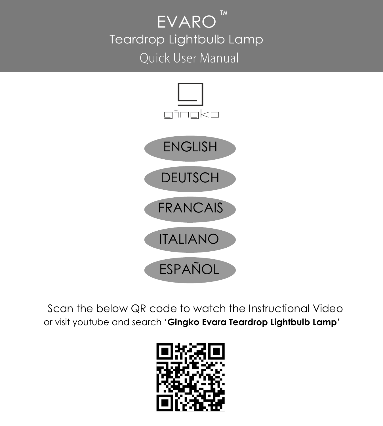# TM EVARO Teardrop Lightbulb Lamp **Ouick User Manual**



Scan the below QR code to watch the Instructional Video or visit youtube and search '**Gingko Evara Teardrop Lightbulb Lamp**'

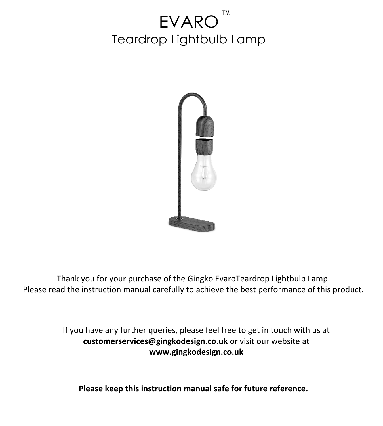# EVARO<sup>"</sup> Teardrop Lightbulb Lamp



Thank you for your purchase of the Gingko EvaroTeardrop Lightbulb Lamp. Please read the instruction manual carefully to achieve the best performance of this product.

> If you have any further queries, please feel free to get in touch with us at **customerservices@gingkodesign.co.uk** or visit our website at **www.gingkodesign.co.uk**

**Please keep this instruction manual safe for future reference.**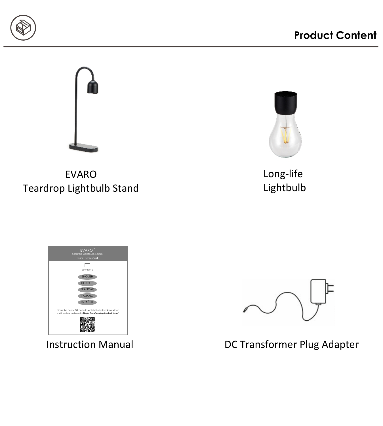



EVARO Teardrop Lightbulb Stand



Long-life Lightbulb





Instruction Manual **DC Transformer Plug Adapter**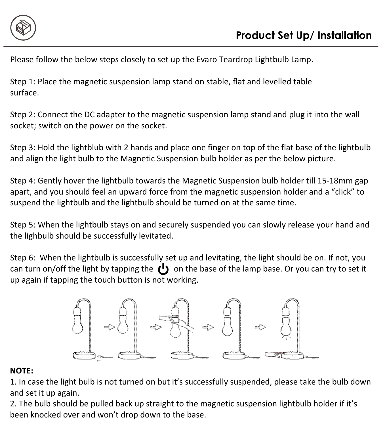

Please follow the below steps closely to set up the Evaro Teardrop Lightbulb Lamp.

Step 1: Place the magnetic suspension lamp stand on stable, flat and levelled table surface.

Step 2: Connect the DC adapter to the magnetic suspension lamp stand and plug it into the wall socket; switch on the power on the socket.

Step 3: Hold the lightblub with 2 hands and place one finger on top of the flat base of the lightbulb and align the light bulb to the Magnetic Suspension bulb holder as per the below picture.

Step 4: Gently hover the lightbulb towards the Magnetic Suspension bulb holder till 15-18mm gap apart, and you should feel an upward force from the magnetic suspension holder and a "click" to suspend the lightbulb and the lightbulb should be turned on at the same time.

Step 5: When the lightbulb stays on and securely suspended you can slowly release your hand and the lighbulb should be successfully levitated.

Step 6: When the lightbulb is successfully set up and levitating, the light should be on. If not, you can turn on/off the light by tapping the  $\left(\cdot\right)$  on the base of the lamp base. Or you can try to set it up again if tapping the touch button is not working.



#### **NOTE:**

1. In case the light bulb is not turned on but it's successfully suspended, please take the bulb down and set it up again.

2. The bulb should be pulled back up straight to the magnetic suspension lightbulb holder if it's been knocked over and won't drop down to the base.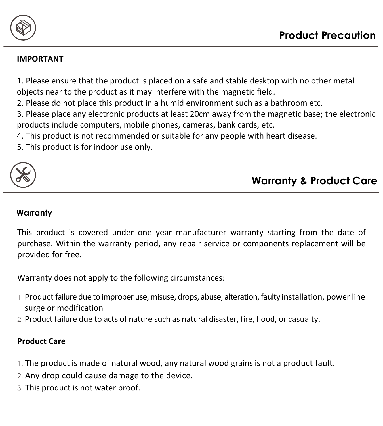

#### **IMPORTANT**

1. Please ensure that the product is placed on a safe and stable desktop with no other metal objects near to the product as it may interfere with the magnetic field.

2. Please do not place this product in a humid environment such as a bathroom etc.

3. Please place any electronic products at least 20cm away from the magnetic base; the electronic products include computers, mobile phones, cameras, bank cards, etc.

4. This product is not recommended or suitable for any people with heart disease.

5. This product is for indoor use only.



# **Warranty & Product Care**

#### **Warranty**

This product is covered under one year manufacturer warranty starting from the date of purchase. Within the warranty period, any repair service or components replacement will be provided for free.

Warranty does not apply to the following circumstances:

- 1. Product failure due to improper use, misuse, drops, abuse, alteration, faulty installation, power line surge or modification
- 2. Product failure due to acts of nature such as natural disaster, fire, flood, or casualty.

#### **Product Care**

- 1. The product is made of natural wood, any natural wood grains is not a product fault.
- 2. Any drop could cause damage to the device.
- 3. This product is not water proof.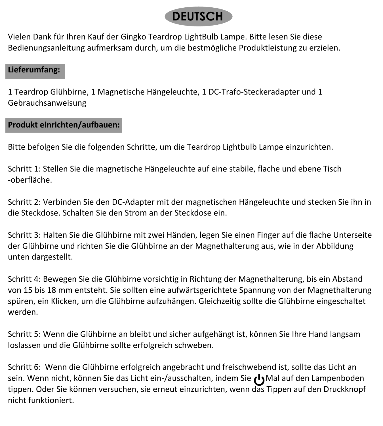# **DEUTSCH**

Vielen Dank für Ihren Kauf der Gingko Teardrop LightBulb Lampe. Bitte lesen Sie diese Bedienungsanleitung aufmerksam durch, um die bestmögliche Produktleistung zu erzielen.

#### **Lieferumfang:**

1 Teardrop Glühbirne, 1 Magnetische Hängeleuchte, 1 DC-Trafo-Steckeradapter und 1 Gebrauchsanweisung

# **Produkt einrichten/aufbauen:**

Bitte befolgen Sie die folgenden Schritte, um die Teardrop Lightbulb Lampe einzurichten.

Schritt 1: Stellen Sie die magnetische Hängeleuchte auf eine stabile, flache und ebene Tisch -oberfläche.

Schritt 2: Verbinden Sie den DC-Adapter mit der magnetischen Hängeleuchte und stecken Sie ihn in die Steckdose. Schalten Sie den Strom an der Steckdose ein.

Schritt 3: Halten Sie die Glühbirne mit zwei Händen, legen Sie einen Finger auf die flache Unterseite der Glühbirne und richten Sie die Glühbirne an der Magnethalterung aus, wie in der Abbildung unten dargestellt.

Schritt 4: Bewegen Sie die Glühbirne vorsichtig in Richtung der Magnethalterung, bis ein Abstand von 15 bis 18 mm entsteht. Sie sollten eine aufwärtsgerichtete Spannung von der Magnethalterung spüren, ein Klicken, um die Glühbirne aufzuhängen. Gleichzeitig sollte die Glühbirne eingeschaltet werden.

Schritt 5: Wenn die Glühbirne an bleibt und sicher aufgehängt ist, können Sie Ihre Hand langsam loslassen und die Glühbirne sollte erfolgreich schweben.

Schritt 6: Wenn die Glühbirne erfolgreich angebracht und freischwebend ist, sollte das Licht an sein. Wenn nicht, können Sie das Licht ein-/ausschalten, indem Sie Mal auf den Lampenboden tippen. Oder Sie können versuchen, sie erneut einzurichten, wenn das Tippen auf den Druckknopf nicht funktioniert.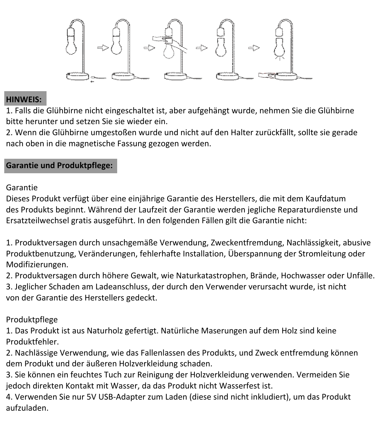

#### **HINWEIS:**

1. Falls die Glühbirne nicht eingeschaltet ist, aber aufgehängt wurde, nehmen Sie die Glühbirne bitte herunter und setzen Sie sie wieder ein.

2. Wenn die Glühbirne umgestoßen wurde und nicht auf den Halter zurückfällt, sollte sie gerade nach oben in die magnetische Fassung gezogen werden.

**Garantie und Produktpflege:**

Garantie

Dieses Produkt verfügt über eine einjährige Garantie des Herstellers, die mit dem Kaufdatum des Produkts beginnt. Während der Laufzeit der Garantie werden jegliche Reparaturdienste und Ersatzteilwechsel gratis ausgeführt. In den folgenden Fällen gilt die Garantie nicht:

1. Produktversagen durch unsachgemäße Verwendung, Zweckentfremdung, Nachlässigkeit, abusive Produktbenutzung, Veränderungen, fehlerhafte Installation, Überspannung der Stromleitung oder Modifizierungen.

2. Produktversagen durch höhere Gewalt, wie Naturkatastrophen, Brände, Hochwasser oder Unfälle.

3. Jeglicher Schaden am Ladeanschluss, der durch den Verwender verursacht wurde, ist nicht von der Garantie des Herstellers gedeckt.

Produktpflege

1. Das Produkt ist aus Naturholz gefertigt. Natürliche Maserungen auf dem Holz sind keine Produktfehler.

2. Nachlässige Verwendung, wie das Fallenlassen des Produkts, und Zweck entfremdung können dem Produkt und der äußeren Holzverkleidung schaden.

3. Sie können ein feuchtes Tuch zur Reinigung der Holzverkleidung verwenden. Vermeiden Sie jedoch direkten Kontakt mit Wasser, da das Produkt nicht Wasserfest ist.

4. Verwenden Sie nur 5V USB-Adapter zum Laden (diese sind nicht inkludiert), um das Produkt aufzuladen.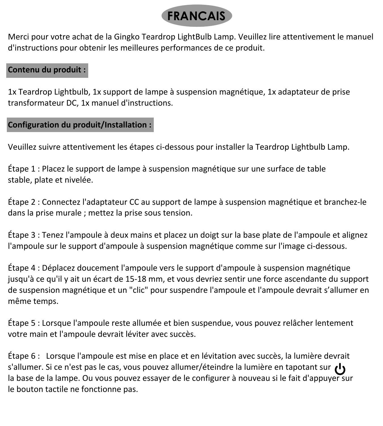

Merci pour votre achat de la Gingko Teardrop LightBulb Lamp. Veuillez lire attentivement le manuel d'instructions pour obtenir les meilleures performances de ce produit.

#### **Contenu du produit :**

1x Teardrop Lightbulb, 1x support de lampe à suspension magnétique, 1x adaptateur de prise transformateur DC, 1x manuel d'instructions.

#### **Configuration du produit/Installation :**

Veuillez suivre attentivement les étapes ci-dessous pour installer la Teardrop Lightbulb Lamp.

Étape 1 : Placez le support de lampe à suspension magnétique sur une surface de table stable, plate et nivelée.

Étape 2 : Connectez l'adaptateur CC au support de lampe à suspension magnétique et branchez-le dans la prise murale ; mettez la prise sous tension.

Étape 3 : Tenez l'ampoule à deux mains et placez un doigt sur la base plate de l'ampoule et alignez l'ampoule sur le support d'ampoule à suspension magnétique comme sur l'image ci-dessous.

Étape 4 : Déplacez doucement l'ampoule vers le support d'ampoule à suspension magnétique jusqu'à ce qu'il y ait un écart de 15-18 mm, et vous devriez sentir une force ascendante du support de suspension magnétique et un "clic" pour suspendre l'ampoule et l'ampoule devrait s'allumer en même temps.

Étape 5 : Lorsque l'ampoule reste allumée et bien suspendue, vous pouvez relâcher lentement votre main et l'ampoule devrait léviter avec succès.

Étape 6 : Lorsque l'ampoule est mise en place et en lévitation avec succès, la lumière devrait s'allumer. Si ce n'est pas le cas, vous pouvez allumer/éteindre la lumière en tapotant sur  $\iota$ la base de la lampe. Ou vous pouvez essayer de le configurer à nouveau si le fait d'appuyer sur le bouton tactile ne fonctionne pas.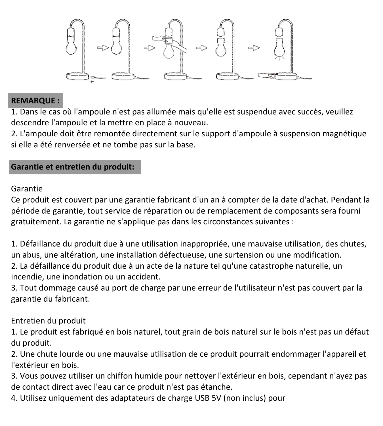

# **REMARQUE :**

1. Dans le cas où l'ampoule n'est pas allumée mais qu'elle est suspendue avec succès, veuillez descendre l'ampoule et la mettre en place à nouveau.

2. L'ampoule doit être remontée directement sur le support d'ampoule à suspension magnétique si elle a été renversée et ne tombe pas sur la base.

# **Garantie et entretien du produit:**

#### Garantie

Ce produit est couvert par une garantie fabricant d'un an à compter de la date d'achat. Pendant la période de garantie, tout service de réparation ou de remplacement de composants sera fourni gratuitement. La garantie ne s'applique pas dans les circonstances suivantes :

1. Défaillance du produit due à une utilisation inappropriée, une mauvaise utilisation, des chutes, un abus, une altération, une installation défectueuse, une surtension ou une modification. 2. La défaillance du produit due à un acte de la nature tel qu'une catastrophe naturelle, un incendie, une inondation ou un accident.

3. Tout dommage causé au port de charge par une erreur de l'utilisateur n'est pas couvert par la garantie du fabricant.

#### Entretien du produit

1. Le produit est fabriqué en bois naturel, tout grain de bois naturel sur le bois n'est pas un défaut du produit.

2. Une chute lourde ou une mauvaise utilisation de ce produit pourrait endommager l'appareil et l'extérieur en bois.

3. Vous pouvez utiliser un chiffon humide pour nettoyer l'extérieur en bois, cependant n'ayez pas de contact direct avec l'eau car ce produit n'est pas étanche.

4. Utilisez uniquement des adaptateurs de charge USB 5V (non inclus) pour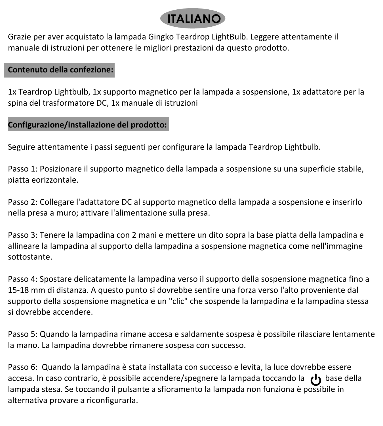

Grazie per aver acquistato la lampada Gingko Teardrop LightBulb. Leggere attentamente il manuale di istruzioni per ottenere le migliori prestazioni da questo prodotto.

#### **Contenuto della confezione:**

1x Teardrop Lightbulb, 1x supporto magnetico per la lampada a sospensione, 1x adattatore per la spina del trasformatore DC, 1x manuale di istruzioni

#### **Configurazione/installazione del prodotto:**

Seguire attentamente i passi seguenti per configurare la lampada Teardrop Lightbulb.

Passo 1: Posizionare il supporto magnetico della lampada a sospensione su una superficie stabile, piatta eorizzontale.

Passo 2: Collegare l'adattatore DC al supporto magnetico della lampada a sospensione e inserirlo nella presa a muro; attivare l'alimentazione sulla presa.

Passo 3: Tenere la lampadina con 2 mani e mettere un dito sopra la base piatta della lampadina e allineare la lampadina al supporto della lampadina a sospensione magnetica come nell'immagine sottostante.

Passo 4: Spostare delicatamente la lampadina verso il supporto della sospensione magnetica fino a 15-18 mm di distanza. A questo punto si dovrebbe sentire una forza verso l'alto proveniente dal supporto della sospensione magnetica e un "clic" che sospende la lampadina e la lampadina stessa si dovrebbe accendere.

Passo 5: Quando la lampadina rimane accesa e saldamente sospesa è possibile rilasciare lentamente la mano. La lampadina dovrebbe rimanere sospesa con successo.

Passo 6: Quando la lampadina è stata installata con successo e levita, la luce dovrebbe essere accesa. In caso contrario, è possibile accendere/spegnere la lampada toccando la base della lampada stesa. Se toccando il pulsante a sfioramento la lampada non funziona è possibile in alternativa provare a riconfigurarla.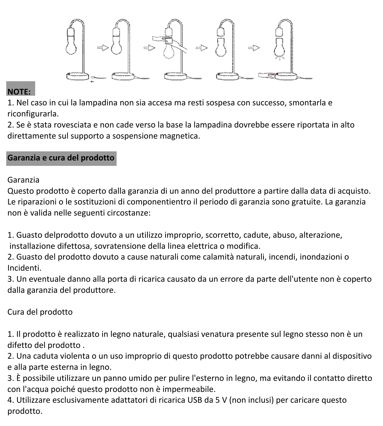

#### **NOTE:**

1. Nel caso in cui la lampadina non sia accesa ma resti sospesa con successo, smontarla e riconfigurarla.

2. Se è stata rovesciata e non cade verso la base la lampadina dovrebbe essere riportata in alto direttamente sul supporto a sospensione magnetica.

### **Garanzia e cura del prodotto**

Garanzia

Questo prodotto è coperto dalla garanzia di un anno del produttore a partire dalla data di acquisto. Le riparazioni o le sostituzioni di componentientro il periodo di garanzia sono gratuite. La garanzia non è valida nelle seguenti circostanze:

1. Guasto delprodotto dovuto a un utilizzo improprio, scorretto, cadute, abuso, alterazione, installazione difettosa, sovratensione della linea elettrica o modifica.

2. Guasto del prodotto dovuto a cause naturali come calamità naturali, incendi, inondazioni o Incidenti.

3. Un eventuale danno alla porta di ricarica causato da un errore da parte dell'utente non è coperto dalla garanzia del produttore.

Cura del prodotto

1. Il prodotto è realizzato in legno naturale, qualsiasi venatura presente sul legno stesso non è un difetto del prodotto .

2. Una caduta violenta o un uso improprio di questo prodotto potrebbe causare danni al dispositivo e alla parte esterna in legno.

3. È possibile utilizzare un panno umido per pulire l'esterno in legno, ma evitando il contatto diretto con l'acqua poiché questo prodotto non è impermeabile.

4. Utilizzare esclusivamente adattatori di ricarica USB da 5 V (non inclusi) per caricare questo prodotto.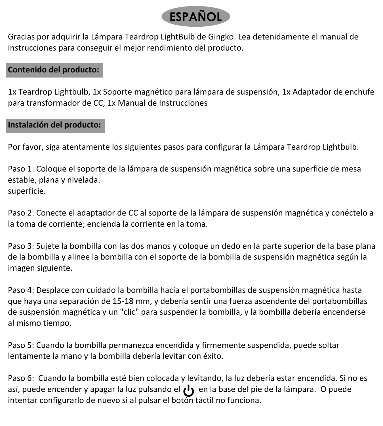

Gracias por adquirir la Lámpara Teardrop LightBulb de Gingko. Lea detenidamente el manual de instrucciones para conseguir el mejor rendimiento del producto.

# **Contenido del producto:**

1x Teardrop Lightbulb, 1x Soporte magnético para lámpara de suspensión, 1x Adaptador de enchufe para transformador de CC, 1x Manual de Instrucciones

#### **Instalación del producto:**

Por favor, siga atentamente los siguientes pasos para configurar la Lámpara Teardrop Lightbulb.

Paso 1: Coloque el soporte de la lámpara de suspensión magnética sobre una superficie de mesa estable, plana y nivelada. superficie.

Paso 2: Conecte el adaptador de CC al soporte de la lámpara de suspensión magnética y conéctelo a la toma de corriente; encienda la corriente en la toma.

Paso 3: Sujete la bombilla con las dos manos y coloque un dedo en la parte superior de la base plana de la bombilla y alinee la bombilla con el soporte de la bombilla de suspensión magnética según la imagen siguiente.

Paso 4: Desplace con cuidado la bombilla hacia el portabombillas de suspensión magnética hasta que haya una separación de 15-18 mm, y debería sentir una fuerza ascendente del portabombillas de suspensión magnética y un "clic" para suspender la bombilla, y la bombilla debería encenderse al mismo tiempo.

Paso 5: Cuando la bombilla permanezca encendida y firmemente suspendida, puede soltar lentamente la mano y la bombilla debería levitar con éxito.

Paso 6: Cuando la bombilla esté bien colocada y levitando, la luz debería estar encendida. Si no es así, puede encender y apagar la luz pulsando el (1) en la base del pie de la lámpara. O puede intentar configurarlo de nuevo si al pulsar el botón táctil no funciona.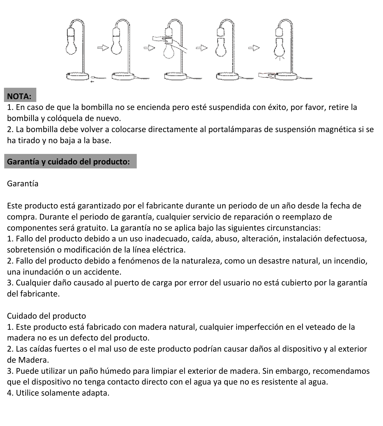

# **NOTA:**

1. En caso de que la bombilla no se encienda pero esté suspendida con éxito, por favor, retire la bombilla y colóquela de nuevo.

2. La bombilla debe volver a colocarse directamente al portalámparas de suspensión magnética si se ha tirado y no baja a la base.

# **Garantía y cuidado del producto:**

Garantía

Este producto está garantizado por el fabricante durante un periodo de un año desde la fecha de compra. Durante el periodo de garantía, cualquier servicio de reparación o reemplazo de componentes será gratuito. La garantía no se aplica bajo las siguientes circunstancias: 1. Fallo del producto debido a un uso inadecuado, caída, abuso, alteración, instalación defectuosa, sobretensión o modificación de la línea eléctrica.

2. Fallo del producto debido a fenómenos de la naturaleza, como un desastre natural, un incendio, una inundación o un accidente.

3. Cualquier daño causado al puerto de carga por error del usuario no está cubierto por la garantía del fabricante.

#### Cuidado del producto

1. Este producto está fabricado con madera natural, cualquier imperfección en el veteado de la madera no es un defecto del producto.

2. Las caídas fuertes o el mal uso de este producto podrían causar daños al dispositivo y al exterior de Madera.

3. Puede utilizar un paño húmedo para limpiar el exterior de madera. Sin embargo, recomendamos que el dispositivo no tenga contacto directo con el agua ya que no es resistente al agua.

4. Utilice solamente adapta.